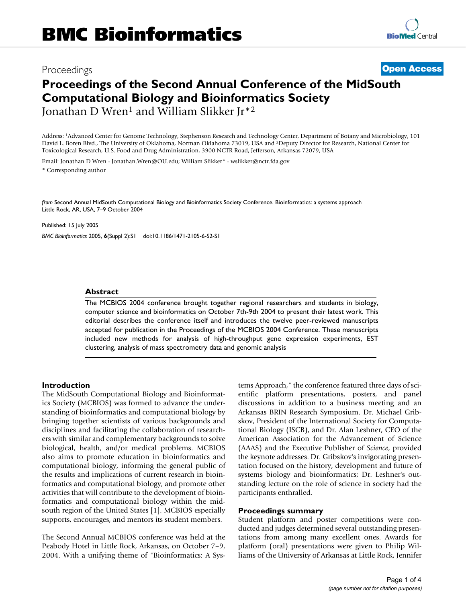# Proceedings **[Open Access](http://www.biomedcentral.com/info/about/charter/)**

# **Proceedings of the Second Annual Conference of the MidSouth Computational Biology and Bioinformatics Society** Jonathan D Wren1 and William Slikker Jr\*2

Address: 1Advanced Center for Genome Technology, Stephenson Research and Technology Center, Department of Botany and Microbiology, 101 David L. Boren Blvd., The University of Oklahoma, Norman Oklahoma 73019, USA and 2Deputy Director for Research, National Center for Toxicological Research, U.S. Food and Drug Administration, 3900 NCTR Road, Jefferson, Arkansas 72079, USA

Email: Jonathan D Wren - Jonathan.Wren@OU.edu; William Slikker\* - wslikker@nctr.fda.gov

\* Corresponding author

*from* Second Annual MidSouth Computational Biology and Bioinformatics Society Conference. Bioinformatics: a systems approach Little Rock, AR, USA, 7–9 October 2004

Published: 15 July 2005

*BMC Bioinformatics* 2005, **6**(Suppl 2):S1 doi:10.1186/1471-2105-6-S2-S1

#### **Abstract**

The MCBIOS 2004 conference brought together regional researchers and students in biology, computer science and bioinformatics on October 7th-9th 2004 to present their latest work. This editorial describes the conference itself and introduces the twelve peer-reviewed manuscripts accepted for publication in the Proceedings of the MCBIOS 2004 Conference. These manuscripts included new methods for analysis of high-throughput gene expression experiments, EST clustering, analysis of mass spectrometry data and genomic analysis

#### **Introduction**

The MidSouth Computational Biology and Bioinformatics Society (MCBIOS) was formed to advance the understanding of bioinformatics and computational biology by bringing together scientists of various backgrounds and disciplines and facilitating the collaboration of researchers with similar and complementary backgrounds to solve biological, health, and/or medical problems. MCBIOS also aims to promote education in bioinformatics and computational biology, informing the general public of the results and implications of current research in bioinformatics and computational biology, and promote other activities that will contribute to the development of bioinformatics and computational biology within the midsouth region of the United States [1]. MCBIOS especially supports, encourages, and mentors its student members.

The Second Annual MCBIOS conference was held at the Peabody Hotel in Little Rock, Arkansas, on October 7–9, 2004. With a unifying theme of "Bioinformatics: A Systems Approach," the conference featured three days of scientific platform presentations, posters, and panel discussions in addition to a business meeting and an Arkansas BRIN Research Symposium. Dr. Michael Gribskov, President of the International Society for Computational Biology (ISCB), and Dr. Alan Leshner, CEO of the American Association for the Advancement of Science (AAAS) and the Executive Publisher of *Science*, provided the keynote addresses. Dr. Gribskov's invigorating presentation focused on the history, development and future of systems biology and bioinformatics; Dr. Leshner's outstanding lecture on the role of science in society had the participants enthralled.

#### **Proceedings summary**

Student platform and poster competitions were conducted and judges determined several outstanding presentations from among many excellent ones. Awards for platform (oral) presentations were given to Philip Williams of the University of Arkansas at Little Rock, Jennifer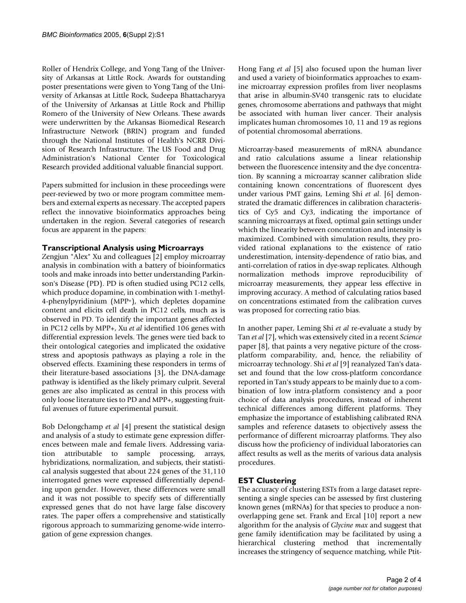Roller of Hendrix College, and Yong Tang of the University of Arkansas at Little Rock. Awards for outstanding poster presentations were given to Yong Tang of the University of Arkansas at Little Rock, Sudeepa Bhattacharyya of the University of Arkansas at Little Rock and Phillip Romero of the University of New Orleans. These awards were underwritten by the Arkansas Biomedical Research Infrastructure Network (BRIN) program and funded through the National Institutes of Health's NCRR Division of Research Infrastructure. The US Food and Drug Administration's National Center for Toxicological Research provided additional valuable financial support.

Papers submitted for inclusion in these proceedings were peer-reviewed by two or more program committee members and external experts as necessary. The accepted papers reflect the innovative bioinformatics approaches being undertaken in the region. Several categories of research focus are apparent in the papers:

## **Transcriptional Analysis using Microarrays**

Zengjun "Alex" Xu and colleagues [2] employ microarray analysis in combination with a battery of bioinformatics tools and make inroads into better understanding Parkinson's Disease (PD). PD is often studied using PC12 cells, which produce dopamine, in combination with 1-methyl-4-phenylpyridinium (MPP+), which depletes dopamine content and elicits cell death in PC12 cells, much as is observed in PD. To identify the important genes affected in PC12 cells by MPP+, Xu *et al* identified 106 genes with differential expression levels. The genes were tied back to their ontological categories and implicated the oxidative stress and apoptosis pathways as playing a role in the observed effects. Examining these responders in terms of their literature-based associations [3], the DNA-damage pathway is identified as the likely primary culprit. Several genes are also implicated as central in this process with only loose literature ties to PD and MPP+, suggesting fruitful avenues of future experimental pursuit.

Bob Delongchamp *et al* [4] present the statistical design and analysis of a study to estimate gene expression differences between male and female livers. Addressing variation attributable to sample processing, arrays, hybridizations, normalization, and subjects, their statistical analysis suggested that about 224 genes of the 31,110 interrogated genes were expressed differentially depending upon gender. However, these differences were small and it was not possible to specify sets of differentially expressed genes that do not have large false discovery rates. The paper offers a comprehensive and statistically rigorous approach to summarizing genome-wide interrogation of gene expression changes.

Hong Fang *et al* [5] also focused upon the human liver and used a variety of bioinformatics approaches to examine microarray expression profiles from liver neoplasms that arise in albumin-SV40 transgenic rats to elucidate genes, chromosome aberrations and pathways that might be associated with human liver cancer. Their analysis implicates human chromosomes 10, 11 and 19 as regions of potential chromosomal aberrations.

Microarray-based measurements of mRNA abundance and ratio calculations assume a linear relationship between the fluorescence intensity and the dye concentration. By scanning a microarray scanner calibration slide containing known concentrations of fluorescent dyes under various PMT gains, Leming Shi *et al*. [6] demonstrated the dramatic differences in calibration characteristics of Cy5 and Cy3, indicating the importance of scanning microarrays at fixed, optimal gain settings under which the linearity between concentration and intensity is maximized. Combined with simulation results, they provided rational explanations to the existence of ratio underestimation, intensity-dependence of ratio bias, and anti-correlation of ratios in dye-swap replicates. Although normalization methods improve reproducibility of microarray measurements, they appear less effective in improving accuracy. A method of calculating ratios based on concentrations estimated from the calibration curves was proposed for correcting ratio bias.

In another paper, Leming Shi *et al* re-evaluate a study by Tan *et al* [7], which was extensively cited in a recent *Science* paper [8], that paints a very negative picture of the crossplatform comparability, and, hence, the reliability of microarray technology. Shi *et al* [9] reanalyzed Tan's dataset and found that the low cross-platform concordance reported in Tan's study appears to be mainly due to a combination of low intra-platform consistency and a poor choice of data analysis procedures, instead of inherent technical differences among different platforms. They emphasize the importance of establishing calibrated RNA samples and reference datasets to objectively assess the performance of different microarray platforms. They also discuss how the proficiency of individual laboratories can affect results as well as the merits of various data analysis procedures.

## **EST Clustering**

The accuracy of clustering ESTs from a large dataset representing a single species can be assessed by first clustering known genes (mRNAs) for that species to produce a nonoverlapping gene set. Frank and Ercal [10] report a new algorithm for the analysis of *Glycine max* and suggest that gene family identification may be facilitated by using a hierarchical clustering method that incrementally increases the stringency of sequence matching, while Ptit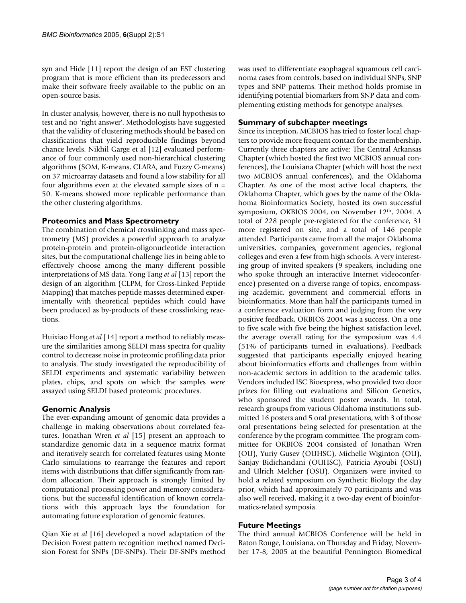syn and Hide [11] report the design of an EST clustering program that is more efficient than its predecessors and make their software freely available to the public on an open-source basis.

In cluster analysis, however, there is no null hypothesis to test and no 'right answer'. Methodologists have suggested that the validity of clustering methods should be based on classifications that yield reproducible findings beyond chance levels. Nikhil Garge et al [12] evaluated performance of four commonly used non-hierarchical clustering algorithms (SOM, K-means, CLARA, and Fuzzy C-means) on 37 microarray datasets and found a low stability for all four algorithms even at the elevated sample sizes of  $n =$ 50. K-means showed more replicable performance than the other clustering algorithms.

## **Proteomics and Mass Spectrometry**

The combination of chemical crosslinking and mass spectrometry (MS) provides a powerful approach to analyze protein-protein and protein-oligonucleotide interaction sites, but the computational challenge lies in being able to effectively choose among the many different possible interpretations of MS data. Yong Tang *et al* [13] report the design of an algorithm (CLPM, for Cross-Linked Peptide Mapping) that matches peptide masses determined experimentally with theoretical peptides which could have been produced as by-products of these crosslinking reactions.

Huixiao Hong *et al* [14] report a method to reliably measure the similarities among SELDI mass spectra for quality control to decrease noise in proteomic profiling data prior to analysis. The study investigated the reproducibility of SELDI experiments and systematic variability between plates, chips, and spots on which the samples were assayed using SELDI based proteomic procedures.

## **Genomic Analysis**

The ever-expanding amount of genomic data provides a challenge in making observations about correlated features. Jonathan Wren *et al* [15] present an approach to standardize genomic data in a sequence matrix format and iteratively search for correlated features using Monte Carlo simulations to rearrange the features and report items with distributions that differ significantly from random allocation. Their approach is strongly limited by computational processing power and memory considerations, but the successful identification of known correlations with this approach lays the foundation for automating future exploration of genomic features.

Qian Xie *et al* [16] developed a novel adaptation of the Decision Forest pattern recognition method named Decision Forest for SNPs (DF-SNPs). Their DF-SNPs method

was used to differentiate esophageal squamous cell carcinoma cases from controls, based on individual SNPs, SNP types and SNP patterns. Their method holds promise in identifying potential biomarkers from SNP data and complementing existing methods for genotype analyses.

## **Summary of subchapter meetings**

Since its inception, MCBIOS has tried to foster local chapters to provide more frequent contact for the membership. Currently three chapters are active: The Central Arkansas Chapter (which hosted the first two MCBIOS annual conferences), the Louisiana Chapter (which will host the next two MCBIOS annual conferences), and the Oklahoma Chapter. As one of the most active local chapters, the Oklahoma Chapter, which goes by the name of the Oklahoma Bioinformatics Society, hosted its own successful symposium, OKBIOS 2004, on November 12th, 2004. A total of 228 people pre-registered for the conference, 31 more registered on site, and a total of 146 people attended. Participants came from all the major Oklahoma universities, companies, government agencies, regional colleges and even a few from high schools. A very interesting group of invited speakers (9 speakers, including one who spoke through an interactive Internet videoconference) presented on a diverse range of topics, encompassing academic, government and commercial efforts in bioinformatics. More than half the participants turned in a conference evaluation form and judging from the very positive feedback, OKBIOS 2004 was a success. On a one to five scale with five being the highest satisfaction level, the average overall rating for the symposium was 4.4 (51% of participants turned in evaluations). Feedback suggested that participants especially enjoyed hearing about bioinformatics efforts and challenges from within non-academic sectors in addition to the academic talks. Vendors included ISC Bioexpress, who provided two door prizes for filling out evaluations and Silicon Genetics, who sponsored the student poster awards. In total, research groups from various Oklahoma institutions submitted 16 posters and 5 oral presentations, with 3 of those oral presentations being selected for presentation at the conference by the program committee. The program committee for OKBIOS 2004 consisted of Jonathan Wren (OU), Yuriy Gusev (OUHSC), Michelle Wiginton (OU), Sanjay Bidichandani (OUHSC), Patricia Ayoubi (OSU) and Ulrich Melcher (OSU). Organizers were invited to hold a related symposium on Synthetic Biology the day prior, which had approximately 70 participants and was also well received, making it a two-day event of bioinformatics-related symposia.

## **Future Meetings**

The third annual MCBIOS Conference will be held in Baton Rouge, Louisiana, on Thursday and Friday, November 17-8, 2005 at the beautiful Pennington Biomedical